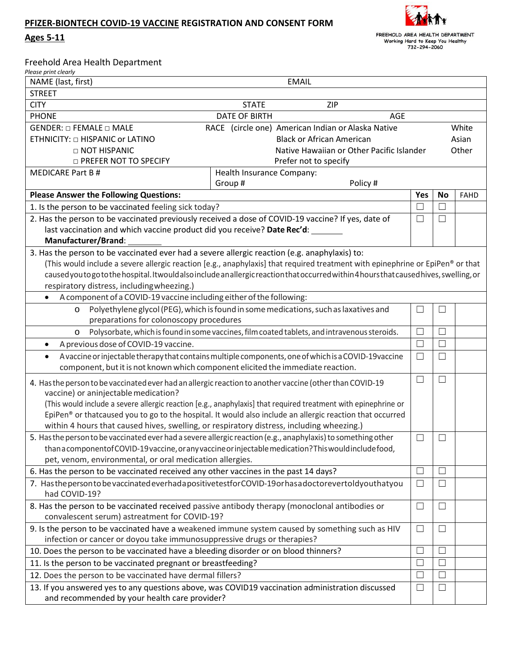## **PFIZER-BIONTECH COVID-19 VACCINE REGISTRATION AND CONSENT FORM**

**Ages 5-11**



|  |  |  | Freehold Area Health Department |
|--|--|--|---------------------------------|
|--|--|--|---------------------------------|

| Please print clearly                                                                                                    |                                                                                                                                           |               |                          |             |  |  |  |  |
|-------------------------------------------------------------------------------------------------------------------------|-------------------------------------------------------------------------------------------------------------------------------------------|---------------|--------------------------|-------------|--|--|--|--|
| NAME (last, first)<br><b>EMAIL</b>                                                                                      |                                                                                                                                           |               |                          |             |  |  |  |  |
| <b>STREET</b>                                                                                                           |                                                                                                                                           |               |                          |             |  |  |  |  |
|                                                                                                                         | <b>CITY</b><br>ZIP<br><b>STATE</b>                                                                                                        |               |                          |             |  |  |  |  |
| <b>PHONE</b><br><b>DATE OF BIRTH</b><br><b>AGE</b>                                                                      |                                                                                                                                           |               |                          |             |  |  |  |  |
| GENDER: $\Box$ FEMALE $\Box$ MALE                                                                                       | RACE (circle one) American Indian or Alaska Native<br>White                                                                               |               |                          |             |  |  |  |  |
| ETHNICITY: $\square$ HISPANIC or LATINO                                                                                 |                                                                                                                                           |               | Asian                    |             |  |  |  |  |
| Native Hawaiian or Other Pacific Islander<br>$\Box$ NOT HISPANIC                                                        |                                                                                                                                           |               |                          | Other       |  |  |  |  |
| <b>D PREFER NOT TO SPECIFY</b>                                                                                          | Prefer not to specify                                                                                                                     |               |                          |             |  |  |  |  |
| <b>MEDICARE Part B#</b>                                                                                                 | Health Insurance Company:                                                                                                                 |               |                          |             |  |  |  |  |
|                                                                                                                         | Group#<br>Policy#                                                                                                                         |               |                          |             |  |  |  |  |
| <b>Please Answer the Following Questions:</b>                                                                           |                                                                                                                                           | Yes<br>$\Box$ | <b>No</b><br>$\Box$      | <b>FAHD</b> |  |  |  |  |
| 1. Is the person to be vaccinated feeling sick today?                                                                   |                                                                                                                                           |               |                          |             |  |  |  |  |
| 2. Has the person to be vaccinated previously received a dose of COVID-19 vaccine? If yes, date of                      |                                                                                                                                           |               |                          |             |  |  |  |  |
| last vaccination and which vaccine product did you receive? Date Rec'd:                                                 |                                                                                                                                           |               |                          |             |  |  |  |  |
| Manufacturer/Brand:                                                                                                     |                                                                                                                                           |               |                          |             |  |  |  |  |
| 3. Has the person to be vaccinated ever had a severe allergic reaction (e.g. anaphylaxis) to:                           |                                                                                                                                           |               |                          |             |  |  |  |  |
|                                                                                                                         | (This would include a severe allergic reaction [e.g., anaphylaxis] that required treatment with epinephrine or EpiPen® or that            |               |                          |             |  |  |  |  |
|                                                                                                                         | caused you to go to the hospital. It would also include an allergic reaction that occurred within 4 hours that caused hives, swelling, or |               |                          |             |  |  |  |  |
| respiratory distress, including wheezing.)                                                                              |                                                                                                                                           |               |                          |             |  |  |  |  |
| A component of a COVID-19 vaccine including either of the following:                                                    |                                                                                                                                           |               |                          |             |  |  |  |  |
| $\circ$                                                                                                                 | Polyethylene glycol (PEG), which is found in some medications, such as laxatives and                                                      | $\Box$        | $\overline{\phantom{a}}$ |             |  |  |  |  |
| preparations for colonoscopy procedures                                                                                 |                                                                                                                                           |               |                          |             |  |  |  |  |
| Polysorbate, which is found in some vaccines, film coated tablets, and intravenous steroids.<br>O                       | $\Box$                                                                                                                                    | $\Box$        |                          |             |  |  |  |  |
| A previous dose of COVID-19 vaccine.<br>$\bullet$                                                                       | $\Box$                                                                                                                                    | П             |                          |             |  |  |  |  |
| A vaccine or injectable therapy that contains multiple components, one of which is a COVID-19 vaccine<br>$\bullet$      |                                                                                                                                           |               |                          |             |  |  |  |  |
| component, but it is not known which component elicited the immediate reaction.                                         |                                                                                                                                           |               |                          |             |  |  |  |  |
| 4. Has the person to be vaccinated ever had an allergic reaction to another vaccine (other than COVID-19                | $\Box$                                                                                                                                    | $\Box$        |                          |             |  |  |  |  |
| vaccine) or aninjectable medication?                                                                                    |                                                                                                                                           |               |                          |             |  |  |  |  |
| (This would include a severe allergic reaction [e.g., anaphylaxis] that required treatment with epinephrine or          |                                                                                                                                           |               |                          |             |  |  |  |  |
| EpiPen® or thatcaused you to go to the hospital. It would also include an allergic reaction that occurred               |                                                                                                                                           |               |                          |             |  |  |  |  |
| within 4 hours that caused hives, swelling, or respiratory distress, including wheezing.)                               |                                                                                                                                           |               |                          |             |  |  |  |  |
| 5. Has the person to be vaccinated ever had a severe allergic reaction (e.g., anaphylaxis) to something other<br>$\Box$ |                                                                                                                                           |               |                          |             |  |  |  |  |
| than a component of COVID-19 vaccine, or any vaccine or injectable medication? This would include food,                 |                                                                                                                                           |               |                          |             |  |  |  |  |
| pet, venom, environmental, or oral medication allergies.                                                                |                                                                                                                                           |               |                          |             |  |  |  |  |
| 6. Has the person to be vaccinated received any other vaccines in the past 14 days?                                     | $\Box$                                                                                                                                    | L             |                          |             |  |  |  |  |
| 7. Has the person to be vaccinated everhad a positive test for COVID-19 or has a doctorevertol dyou thatyou             |                                                                                                                                           |               |                          |             |  |  |  |  |
| had COVID-19?                                                                                                           | $\Box$                                                                                                                                    | $\Box$        |                          |             |  |  |  |  |
| 8. Has the person to be vaccinated received passive antibody therapy (monoclonal antibodies or                          | $\Box$                                                                                                                                    | ⊔             |                          |             |  |  |  |  |
| convalescent serum) astreatment for COVID-19?                                                                           |                                                                                                                                           |               |                          |             |  |  |  |  |
| 9. Is the person to be vaccinated have a weakened immune system caused by something such as HIV                         | $\Box$                                                                                                                                    | $\Box$        |                          |             |  |  |  |  |
| infection or cancer or doyou take immunosuppressive drugs or therapies?                                                 |                                                                                                                                           |               |                          |             |  |  |  |  |
| 10. Does the person to be vaccinated have a bleeding disorder or on blood thinners?                                     | $\Box$                                                                                                                                    | Ш             |                          |             |  |  |  |  |
| 11. Is the person to be vaccinated pregnant or breastfeeding?                                                           | П                                                                                                                                         | $\mathbf{L}$  |                          |             |  |  |  |  |
| 12. Does the person to be vaccinated have dermal fillers?                                                               | $\vert \ \ \vert$                                                                                                                         | L             |                          |             |  |  |  |  |
| 13. If you answered yes to any questions above, was COVID19 vaccination administration discussed                        | $\Box$                                                                                                                                    | $\Box$        |                          |             |  |  |  |  |
| and recommended by your health care provider?                                                                           |                                                                                                                                           |               |                          |             |  |  |  |  |
|                                                                                                                         |                                                                                                                                           |               |                          |             |  |  |  |  |